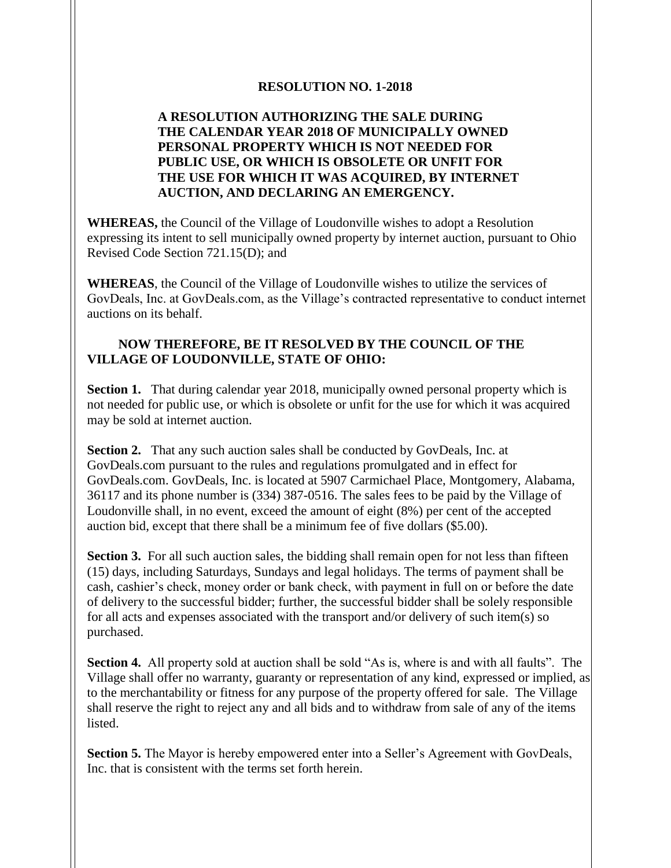## **RESOLUTION NO. 1-2018**

## **A RESOLUTION AUTHORIZING THE SALE DURING THE CALENDAR YEAR 2018 OF MUNICIPALLY OWNED PERSONAL PROPERTY WHICH IS NOT NEEDED FOR PUBLIC USE, OR WHICH IS OBSOLETE OR UNFIT FOR THE USE FOR WHICH IT WAS ACQUIRED, BY INTERNET AUCTION, AND DECLARING AN EMERGENCY.**

**WHEREAS,** the Council of the Village of Loudonville wishes to adopt a Resolution expressing its intent to sell municipally owned property by internet auction, pursuant to Ohio Revised Code Section 721.15(D); and

**WHEREAS**, the Council of the Village of Loudonville wishes to utilize the services of GovDeals, Inc. at GovDeals.com, as the Village's contracted representative to conduct internet auctions on its behalf.

## **NOW THEREFORE, BE IT RESOLVED BY THE COUNCIL OF THE VILLAGE OF LOUDONVILLE, STATE OF OHIO:**

**Section 1.** That during calendar year 2018, municipally owned personal property which is not needed for public use, or which is obsolete or unfit for the use for which it was acquired may be sold at internet auction.

**Section 2.** That any such auction sales shall be conducted by GovDeals, Inc. at GovDeals.com pursuant to the rules and regulations promulgated and in effect for GovDeals.com. GovDeals, Inc. is located at 5907 Carmichael Place, Montgomery, Alabama, 36117 and its phone number is (334) 387-0516. The sales fees to be paid by the Village of Loudonville shall, in no event, exceed the amount of eight (8%) per cent of the accepted auction bid, except that there shall be a minimum fee of five dollars (\$5.00).

**Section 3.** For all such auction sales, the bidding shall remain open for not less than fifteen (15) days, including Saturdays, Sundays and legal holidays. The terms of payment shall be cash, cashier's check, money order or bank check, with payment in full on or before the date of delivery to the successful bidder; further, the successful bidder shall be solely responsible for all acts and expenses associated with the transport and/or delivery of such item(s) so purchased.

**Section 4.** All property sold at auction shall be sold "As is, where is and with all faults". The Village shall offer no warranty, guaranty or representation of any kind, expressed or implied, as to the merchantability or fitness for any purpose of the property offered for sale. The Village shall reserve the right to reject any and all bids and to withdraw from sale of any of the items listed.

**Section 5.** The Mayor is hereby empowered enter into a Seller's Agreement with GovDeals, Inc. that is consistent with the terms set forth herein.